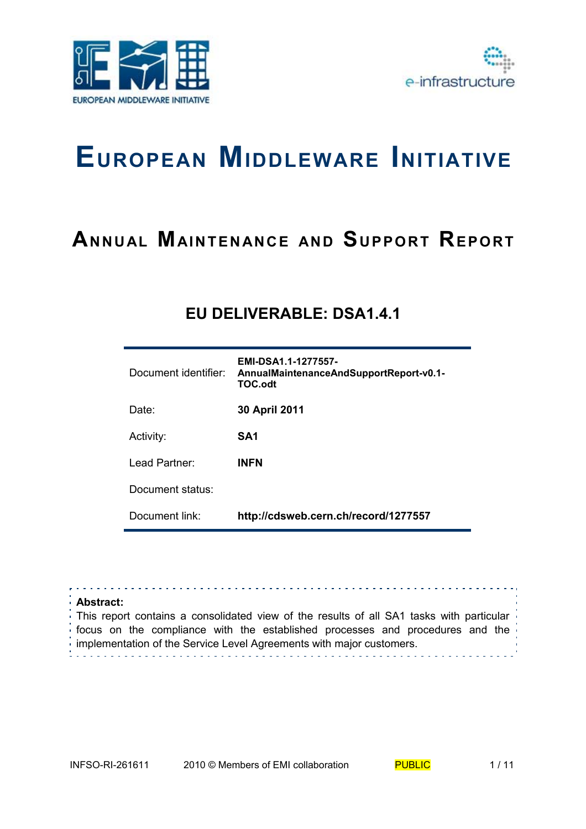



# **EUROPEAN MIDDLEWARE INITIATIVE**

# **A**NNUAL MAINTENANCE AND SUPPORT REPORT

## **EU DELIVERABLE: DSA1.4.1**

| Document identifier: | EMI-DSA1.1-1277557-<br>AnnualMaintenanceAndSupportReport-v0.1-<br><b>TOC.odt</b> |
|----------------------|----------------------------------------------------------------------------------|
| Date:                | 30 April 2011                                                                    |
| Activity:            | SA1                                                                              |
| Lead Partner:        | <b>INFN</b>                                                                      |
| Document status:     |                                                                                  |
| Document link:       | http://cdsweb.cern.ch/record/1277557                                             |

| <b>Abstract:</b>                                                                                                                                      |  |
|-------------------------------------------------------------------------------------------------------------------------------------------------------|--|
| This report contains a consolidated view of the results of all SA1 tasks with particular                                                              |  |
| focus on the compliance with the established processes and procedures and the<br>implementation of the Service Level Agreements with major customers. |  |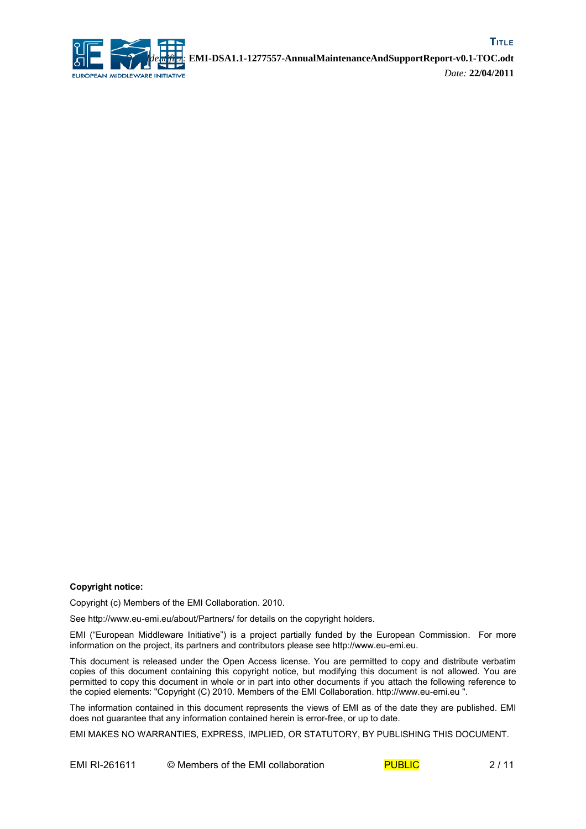

#### **Copyright notice:**

Copyright (c) Members of the EMI Collaboration. 2010.

See http://www.eu-emi.eu/about/Partners/ for details on the copyright holders.

EMI ("European Middleware Initiative") is a project partially funded by the European Commission. For more information on the project, its partners and contributors please see http://www.eu-emi.eu.

This document is released under the Open Access license. You are permitted to copy and distribute verbatim copies of this document containing this copyright notice, but modifying this document is not allowed. You are permitted to copy this document in whole or in part into other documents if you attach the following reference to the copied elements: "Copyright (C) 2010. Members of the EMI Collaboration. http://www.eu-emi.eu ".

The information contained in this document represents the views of EMI as of the date they are published. EMI does not guarantee that any information contained herein is error-free, or up to date.

EMI MAKES NO WARRANTIES, EXPRESS, IMPLIED, OR STATUTORY, BY PUBLISHING THIS DOCUMENT.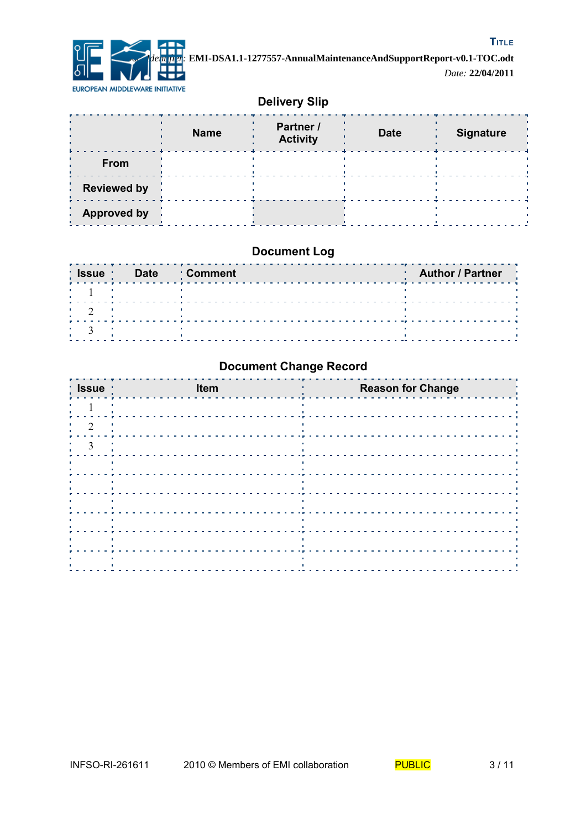

### **Delivery Slip**

|                          | <b>Name</b> | Partner /<br><b>Activity</b> | <b>Date</b> | <b>Signature</b> |
|--------------------------|-------------|------------------------------|-------------|------------------|
| From                     |             |                              |             |                  |
| <b>Reviewed by</b><br>ò. |             |                              |             |                  |
| <b>Approved by</b>       |             |                              |             |                  |

### **Document Log**

| ∶ Issue | Date | <b>' Comment</b> | <b>Author / Partner</b> |
|---------|------|------------------|-------------------------|
|         |      |                  |                         |
|         |      |                  |                         |
|         |      |                  |                         |

### **Document Change Record**

| :Issue:                                                                                                                         | Item                                                                          | <b>Reason for Change</b>                                                                                                   |
|---------------------------------------------------------------------------------------------------------------------------------|-------------------------------------------------------------------------------|----------------------------------------------------------------------------------------------------------------------------|
|                                                                                                                                 |                                                                               |                                                                                                                            |
| $\overline{2}$                                                                                                                  | and the company of the state                                                  | - 11                                                                                                                       |
| $\frac{3}{2}$<br>л.                                                                                                             |                                                                               | ×                                                                                                                          |
| and the control of the<br>л.                                                                                                    | - 11                                                                          | ٠<br><u> 1986 - Paul Barbara, presidente e a contra a contra de la contra de la contra de la contra de la contra de la</u> |
| the control of the control of the<br><b>A</b><br>$\mathbf{R}$ .                                                                 | <b>CONTRACTOR</b>                                                             | $\mathbf{u}$                                                                                                               |
|                                                                                                                                 | $\mathbf{L}$                                                                  | $\mathbf{L}$<br><b>A</b>                                                                                                   |
| and the control of the<br>$\mathbf{L}$ .                                                                                        | <b>COLOR</b>                                                                  | $\sim$ 1                                                                                                                   |
| $\frac{1}{2}$ , $\frac{1}{2}$ , $\frac{1}{2}$ , $\frac{1}{2}$ , $\frac{1}{2}$ , $\frac{1}{2}$ , $\frac{1}{2}$<br>$\mathbf{u}$ . | the control of the control of the<br>the contract of the contract of the con- | $\sim 10$                                                                                                                  |
| ٠<br>$\sim 10$<br>$\mathbf{L}_{\rm{c}}$                                                                                         |                                                                               | л.                                                                                                                         |
|                                                                                                                                 |                                                                               |                                                                                                                            |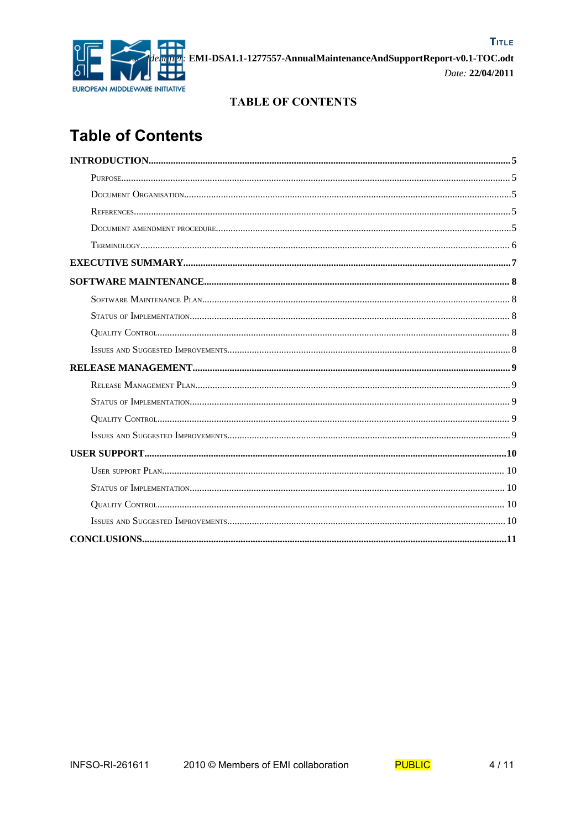

### **TABLE OF CONTENTS**

# **Table of Contents**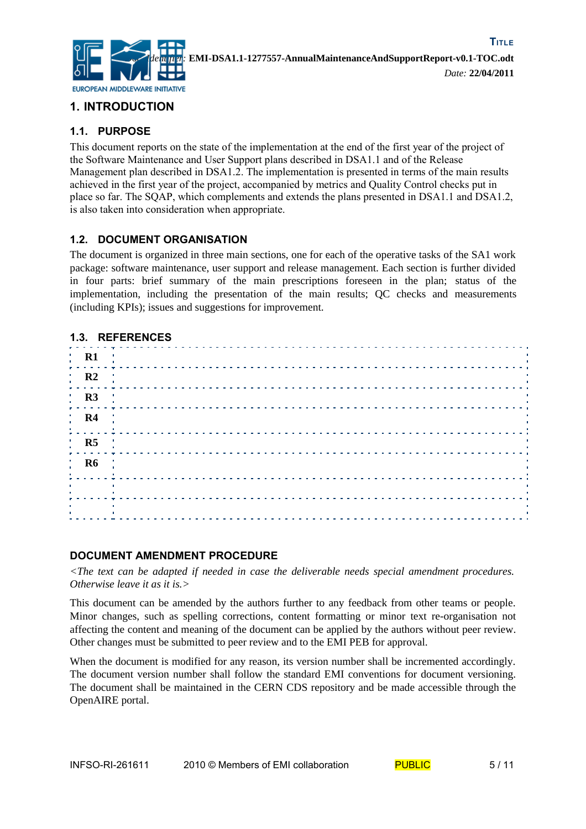

### **1. INTRODUCTION**

### **1.1. PURPOSE**

This document reports on the state of the implementation at the end of the first year of the project of the Software Maintenance and User Support plans described in DSA1.1 and of the Release Management plan described in DSA1.2. The implementation is presented in terms of the main results achieved in the first year of the project, accompanied by metrics and Quality Control checks put in place so far. The SQAP, which complements and extends the plans presented in DSA1.1 and DSA1.2, is also taken into consideration when appropriate.

### **1.2. DOCUMENT ORGANISATION**

The document is organized in three main sections, one for each of the operative tasks of the SA1 work package: software maintenance, user support and release management. Each section is further divided in four parts: brief summary of the main prescriptions foreseen in the plan; status of the implementation, including the presentation of the main results; QC checks and measurements (including KPIs); issues and suggestions for improvement.

#### **1.3. REFERENCES**

| $\begin{bmatrix} \mathbf{R1} & \cdots & \mathbf{R2} \end{bmatrix}$ |  |  |  |  |  |  |  |  |  |  |  |  |  |  |  |  |  |  |  |  |  |  |  |
|--------------------------------------------------------------------|--|--|--|--|--|--|--|--|--|--|--|--|--|--|--|--|--|--|--|--|--|--|--|
|                                                                    |  |  |  |  |  |  |  |  |  |  |  |  |  |  |  |  |  |  |  |  |  |  |  |
|                                                                    |  |  |  |  |  |  |  |  |  |  |  |  |  |  |  |  |  |  |  |  |  |  |  |
|                                                                    |  |  |  |  |  |  |  |  |  |  |  |  |  |  |  |  |  |  |  |  |  |  |  |
|                                                                    |  |  |  |  |  |  |  |  |  |  |  |  |  |  |  |  |  |  |  |  |  |  |  |
|                                                                    |  |  |  |  |  |  |  |  |  |  |  |  |  |  |  |  |  |  |  |  |  |  |  |
|                                                                    |  |  |  |  |  |  |  |  |  |  |  |  |  |  |  |  |  |  |  |  |  |  |  |
| Contract of the Con-                                               |  |  |  |  |  |  |  |  |  |  |  |  |  |  |  |  |  |  |  |  |  |  |  |
|                                                                    |  |  |  |  |  |  |  |  |  |  |  |  |  |  |  |  |  |  |  |  |  |  |  |

#### **DOCUMENT AMENDMENT PROCEDURE**

*<The text can be adapted if needed in case the deliverable needs special amendment procedures. Otherwise leave it as it is.>*

This document can be amended by the authors further to any feedback from other teams or people. Minor changes, such as spelling corrections, content formatting or minor text re-organisation not affecting the content and meaning of the document can be applied by the authors without peer review. Other changes must be submitted to peer review and to the EMI PEB for approval.

When the document is modified for any reason, its version number shall be incremented accordingly. The document version number shall follow the standard EMI conventions for document versioning. The document shall be maintained in the CERN CDS repository and be made accessible through the OpenAIRE portal.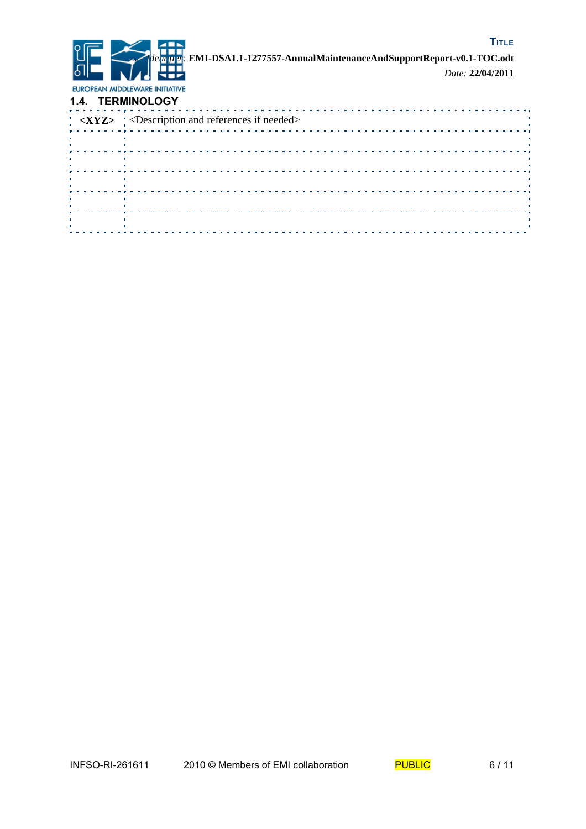

**TITLE** *Doc. Identifier:* **EMI-DSA1.1-1277557-AnnualMaintenanceAndSupportReport-v0.1-TOC.odt** *Date:* **22/04/2011**

EUROPEAN MIDDLEWARE INITIATIVE **1.4. TERMINOLOGY**

|                 | 1.7. ILINIIIIVULVUI                              |
|-----------------|--------------------------------------------------|
|                 | $XYZ > $ < Description and references if needed> |
|                 |                                                  |
| <b>Contract</b> |                                                  |
|                 |                                                  |
|                 |                                                  |
|                 |                                                  |
|                 |                                                  |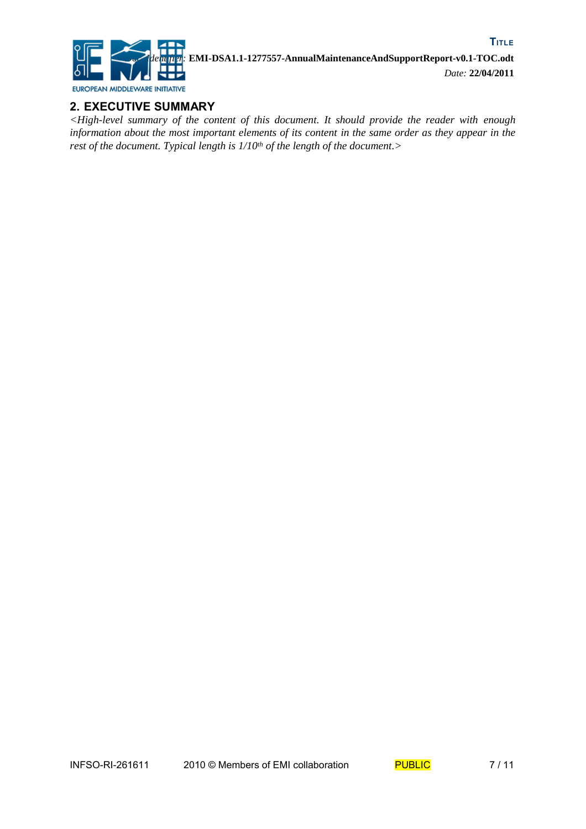

### **2. EXECUTIVE SUMMARY**

*<High-level summary of the content of this document. It should provide the reader with enough information about the most important elements of its content in the same order as they appear in the rest of the document. Typical length is 1/10th of the length of the document.>*

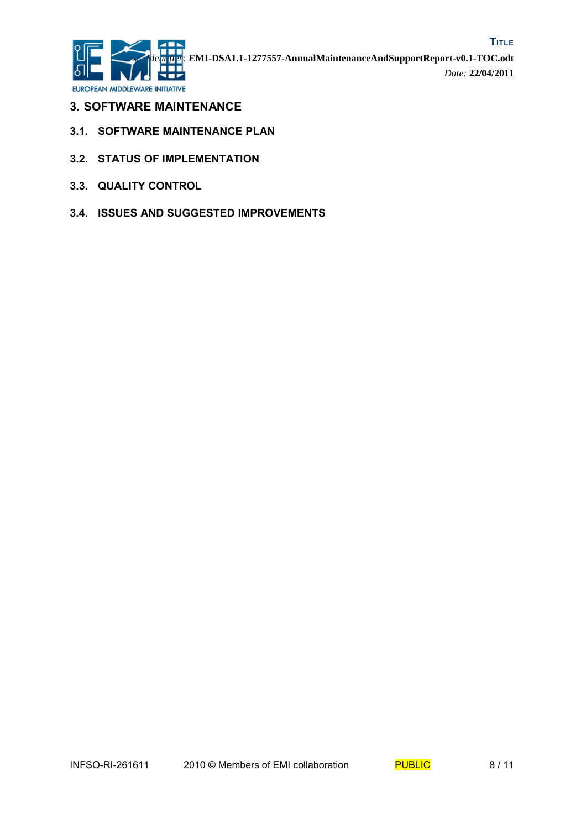

- **3. SOFTWARE MAINTENANCE**
- **3.1. SOFTWARE MAINTENANCE PLAN**
- **3.2. STATUS OF IMPLEMENTATION**
- **3.3. QUALITY CONTROL**
- **3.4. ISSUES AND SUGGESTED IMPROVEMENTS**

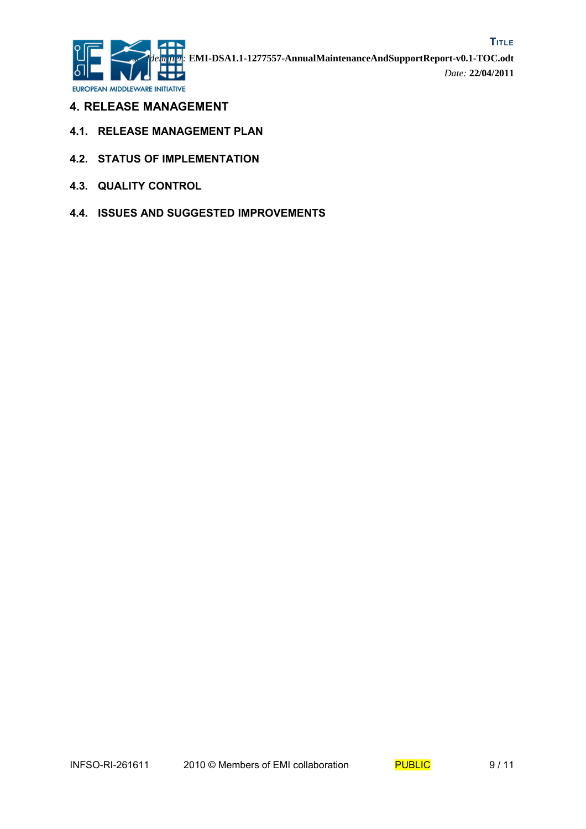

- **4. RELEASE MANAGEMENT**
- **4.1. RELEASE MANAGEMENT PLAN**
- **4.2. STATUS OF IMPLEMENTATION**
- **4.3. QUALITY CONTROL**
- **4.4. ISSUES AND SUGGESTED IMPROVEMENTS**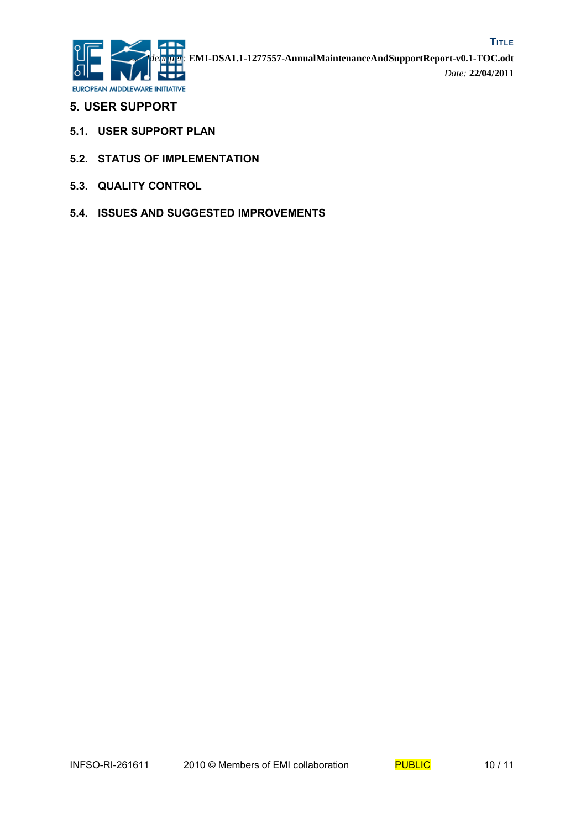

- **5. USER SUPPORT**
- **5.1. USER SUPPORT PLAN**
- **5.2. STATUS OF IMPLEMENTATION**
- **5.3. QUALITY CONTROL**
- **5.4. ISSUES AND SUGGESTED IMPROVEMENTS**